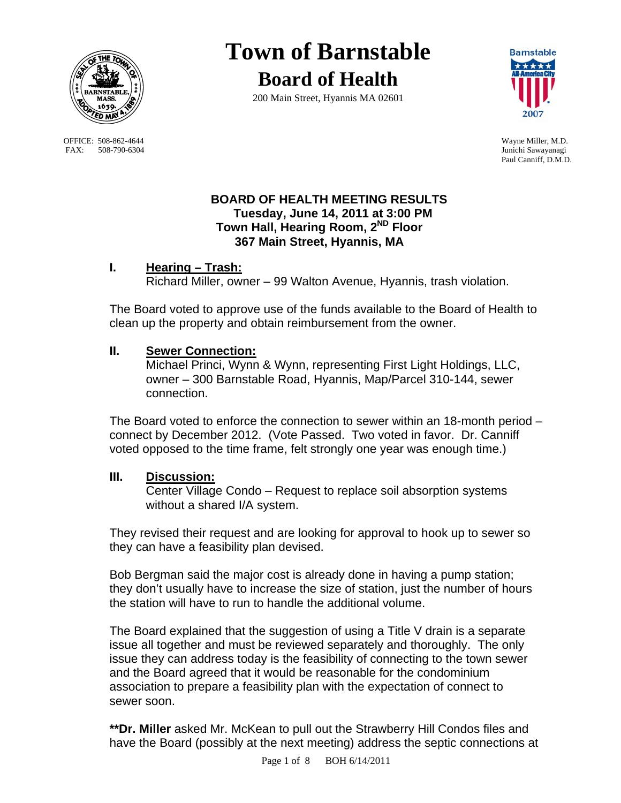

OFFICE: 508-862-4644 Wayne Miller, M.D.<br>
FAX: 508-790-6304 Junichi Sawayanagi FAX: 508-790-6304

## **Town of Barnstable Board of Health**

200 Main Street, Hyannis MA 02601



Paul Canniff, D.M.D.

## **BOARD OF HEALTH MEETING RESULTS Tuesday, June 14, 2011 at 3:00 PM Town Hall, Hearing Room, 2ND Floor 367 Main Street, Hyannis, MA**

## **I. Hearing – Trash:**

Richard Miller, owner – 99 Walton Avenue, Hyannis, trash violation.

The Board voted to approve use of the funds available to the Board of Health to clean up the property and obtain reimbursement from the owner.

## **II. Sewer Connection:**

 Michael Princi, Wynn & Wynn, representing First Light Holdings, LLC, owner – 300 Barnstable Road, Hyannis, Map/Parcel 310-144, sewer connection.

The Board voted to enforce the connection to sewer within an 18-month period – connect by December 2012. (Vote Passed. Two voted in favor. Dr. Canniff voted opposed to the time frame, felt strongly one year was enough time.)

## **III. Discussion:**

 Center Village Condo – Request to replace soil absorption systems without a shared I/A system.

They revised their request and are looking for approval to hook up to sewer so they can have a feasibility plan devised.

Bob Bergman said the major cost is already done in having a pump station; they don't usually have to increase the size of station, just the number of hours the station will have to run to handle the additional volume.

The Board explained that the suggestion of using a Title V drain is a separate issue all together and must be reviewed separately and thoroughly. The only issue they can address today is the feasibility of connecting to the town sewer and the Board agreed that it would be reasonable for the condominium association to prepare a feasibility plan with the expectation of connect to sewer soon.

**\*\*Dr. Miller** asked Mr. McKean to pull out the Strawberry Hill Condos files and have the Board (possibly at the next meeting) address the septic connections at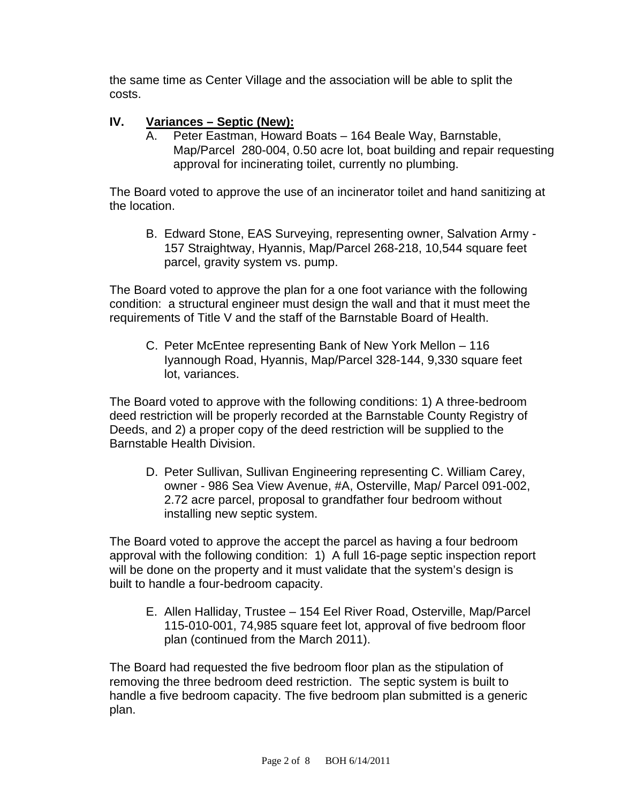the same time as Center Village and the association will be able to split the costs.

# **IV.** Variances – Septic (New):<br>A. Peter Eastman, Howard

Peter Eastman, Howard Boats – 164 Beale Way, Barnstable, Map/Parcel 280-004, 0.50 acre lot, boat building and repair requesting approval for incinerating toilet, currently no plumbing.

The Board voted to approve the use of an incinerator toilet and hand sanitizing at the location.

B. Edward Stone, EAS Surveying, representing owner, Salvation Army - 157 Straightway, Hyannis, Map/Parcel 268-218, 10,544 square feet parcel, gravity system vs. pump.

The Board voted to approve the plan for a one foot variance with the following condition: a structural engineer must design the wall and that it must meet the requirements of Title V and the staff of the Barnstable Board of Health.

C. Peter McEntee representing Bank of New York Mellon – 116 Iyannough Road, Hyannis, Map/Parcel 328-144, 9,330 square feet lot, variances.

The Board voted to approve with the following conditions: 1) A three-bedroom deed restriction will be properly recorded at the Barnstable County Registry of Deeds, and 2) a proper copy of the deed restriction will be supplied to the Barnstable Health Division.

D. Peter Sullivan, Sullivan Engineering representing C. William Carey, owner - 986 Sea View Avenue, #A, Osterville, Map/ Parcel 091-002, 2.72 acre parcel, proposal to grandfather four bedroom without installing new septic system.

The Board voted to approve the accept the parcel as having a four bedroom approval with the following condition: 1) A full 16-page septic inspection report will be done on the property and it must validate that the system's design is built to handle a four-bedroom capacity.

E. Allen Halliday, Trustee – 154 Eel River Road, Osterville, Map/Parcel 115-010-001, 74,985 square feet lot, approval of five bedroom floor plan (continued from the March 2011).

The Board had requested the five bedroom floor plan as the stipulation of removing the three bedroom deed restriction. The septic system is built to handle a five bedroom capacity. The five bedroom plan submitted is a generic plan.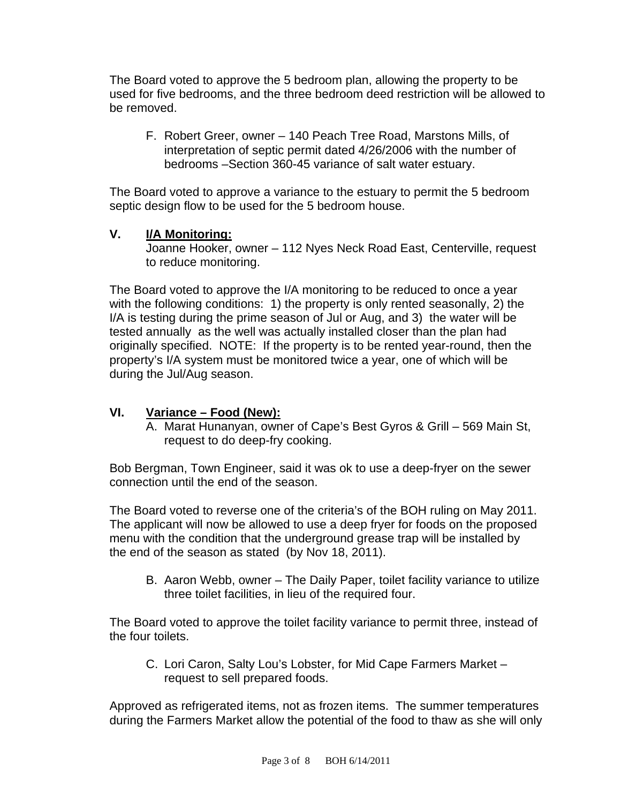The Board voted to approve the 5 bedroom plan, allowing the property to be used for five bedrooms, and the three bedroom deed restriction will be allowed to be removed.

F. Robert Greer, owner – 140 Peach Tree Road, Marstons Mills, of interpretation of septic permit dated 4/26/2006 with the number of bedrooms –Section 360-45 variance of salt water estuary.

The Board voted to approve a variance to the estuary to permit the 5 bedroom septic design flow to be used for the 5 bedroom house.

## **V. I/A Monitoring:**

 Joanne Hooker, owner – 112 Nyes Neck Road East, Centerville, request to reduce monitoring.

The Board voted to approve the I/A monitoring to be reduced to once a year with the following conditions: 1) the property is only rented seasonally, 2) the I/A is testing during the prime season of Jul or Aug, and 3) the water will be tested annually as the well was actually installed closer than the plan had originally specified. NOTE: If the property is to be rented year-round, then the property's I/A system must be monitored twice a year, one of which will be during the Jul/Aug season.

## **VI. Variance – Food (New):**

A. Marat Hunanyan, owner of Cape's Best Gyros & Grill – 569 Main St, request to do deep-fry cooking.

Bob Bergman, Town Engineer, said it was ok to use a deep-fryer on the sewer connection until the end of the season.

The Board voted to reverse one of the criteria's of the BOH ruling on May 2011. The applicant will now be allowed to use a deep fryer for foods on the proposed menu with the condition that the underground grease trap will be installed by the end of the season as stated (by Nov 18, 2011).

B. Aaron Webb, owner – The Daily Paper, toilet facility variance to utilize three toilet facilities, in lieu of the required four.

The Board voted to approve the toilet facility variance to permit three, instead of the four toilets.

C. Lori Caron, Salty Lou's Lobster, for Mid Cape Farmers Market – request to sell prepared foods.

Approved as refrigerated items, not as frozen items. The summer temperatures during the Farmers Market allow the potential of the food to thaw as she will only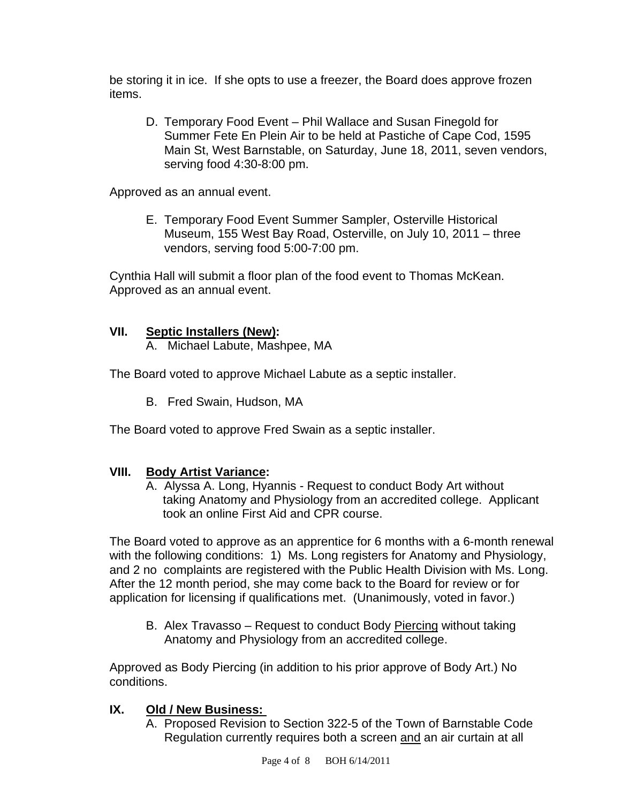be storing it in ice. If she opts to use a freezer, the Board does approve frozen items.

D. Temporary Food Event – Phil Wallace and Susan Finegold for Summer Fete En Plein Air to be held at Pastiche of Cape Cod, 1595 Main St, West Barnstable, on Saturday, June 18, 2011, seven vendors, serving food 4:30-8:00 pm.

Approved as an annual event.

E. Temporary Food Event Summer Sampler, Osterville Historical Museum, 155 West Bay Road, Osterville, on July 10, 2011 – three vendors, serving food 5:00-7:00 pm.

Cynthia Hall will submit a floor plan of the food event to Thomas McKean. Approved as an annual event.

## **VII. Septic Installers (New):**

A. Michael Labute, Mashpee, MA

The Board voted to approve Michael Labute as a septic installer.

B. Fred Swain, Hudson, MA

The Board voted to approve Fred Swain as a septic installer.

## **VIII. Body Artist Variance:**

 A. Alyssa A. Long, Hyannis - Request to conduct Body Art without taking Anatomy and Physiology from an accredited college. Applicant took an online First Aid and CPR course.

The Board voted to approve as an apprentice for 6 months with a 6-month renewal with the following conditions: 1) Ms. Long registers for Anatomy and Physiology, and 2 no complaints are registered with the Public Health Division with Ms. Long. After the 12 month period, she may come back to the Board for review or for application for licensing if qualifications met. (Unanimously, voted in favor.)

B. Alex Travasso – Request to conduct Body Piercing without taking Anatomy and Physiology from an accredited college.

Approved as Body Piercing (in addition to his prior approve of Body Art.) No conditions.

## **IX. Old / New Business:**

A. Proposed Revision to Section 322-5 of the Town of Barnstable Code Regulation currently requires both a screen and an air curtain at all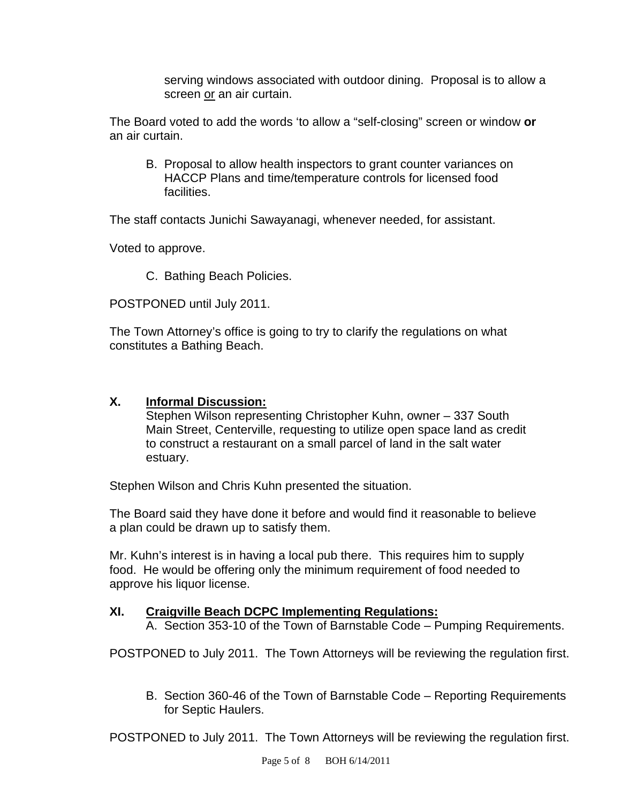serving windows associated with outdoor dining. Proposal is to allow a screen or an air curtain.

The Board voted to add the words 'to allow a "self-closing" screen or window **or**  an air curtain.

B. Proposal to allow health inspectors to grant counter variances on HACCP Plans and time/temperature controls for licensed food facilities.

The staff contacts Junichi Sawayanagi, whenever needed, for assistant.

Voted to approve.

C. Bathing Beach Policies.

POSTPONED until July 2011.

The Town Attorney's office is going to try to clarify the regulations on what constitutes a Bathing Beach.

## **X. Informal Discussion:**

 Stephen Wilson representing Christopher Kuhn, owner – 337 South Main Street, Centerville, requesting to utilize open space land as credit to construct a restaurant on a small parcel of land in the salt water estuary.

Stephen Wilson and Chris Kuhn presented the situation.

The Board said they have done it before and would find it reasonable to believe a plan could be drawn up to satisfy them.

Mr. Kuhn's interest is in having a local pub there. This requires him to supply food. He would be offering only the minimum requirement of food needed to approve his liquor license.

## **XI. Craigville Beach DCPC Implementing Regulations:**

A. Section 353-10 of the Town of Barnstable Code – Pumping Requirements.

POSTPONED to July 2011. The Town Attorneys will be reviewing the regulation first.

B. Section 360-46 of the Town of Barnstable Code – Reporting Requirements for Septic Haulers.

POSTPONED to July 2011. The Town Attorneys will be reviewing the regulation first.